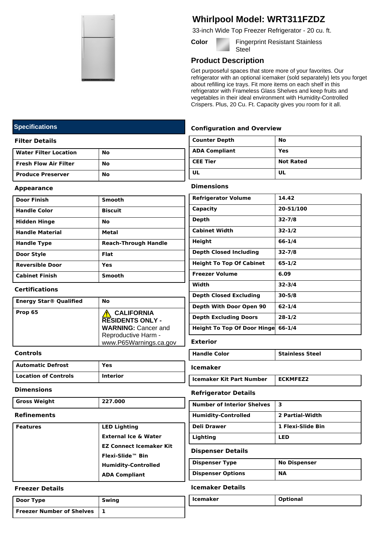

# **Whirlpool Model: WRT311FZDZ**

33-inch Wide Top Freezer Refrigerator - 20 cu. ft.

**Color Fingerprint Resistant Stainless Steel** 

## **Product Description**

Get purposeful spaces that store more of your favorites. Our refrigerator with an optional icemaker (sold separately) lets you forget about refilling ice trays. Fit more items on each shelf in this refrigerator with Frameless Glass Shelves and keep fruits and vegetables in their ideal environment with Humidity-Controlled Crispers. Plus, 20 Cu. Ft. Capacity gives you room for it all.

## **Configuration and Overview**

| Counter Depth        | No               |
|----------------------|------------------|
| <b>ADA Compliant</b> | Yes              |
| <b>CEE Tier</b>      | <b>Not Rated</b> |
| UL                   | UL               |

### **Dimensions**

| <b>Refrigerator Volume</b>         | 14.42      |
|------------------------------------|------------|
| Capacity                           | 20-51/100  |
| Depth                              | $32 - 7/8$ |
| <b>Cabinet Width</b>               | $32 - 1/2$ |
| Height                             | 66-1/4     |
| <b>Depth Closed Including</b>      | $32 - 7/8$ |
| <b>Height To Top Of Cabinet</b>    | 65-1/2     |
| <b>Freezer Volume</b>              | 6.09       |
| Width                              | $32 - 3/4$ |
| <b>Depth Closed Excluding</b>      | $30 - 5/8$ |
| Depth With Door Open 90            | 62-1/4     |
| <b>Depth Excluding Doors</b>       | 28-1/2     |
| <b>Height To Top Of Door Hinge</b> | $66 - 1/4$ |

## **Exterior**

| l Handle Color | <b>Stainless Steel</b> |
|----------------|------------------------|
|                |                        |

**Icemaker**

**Icemaker Kit Part Number** | **ECKMFEZ2** 

#### **Refrigerator Details**

| <b>Number of Interior Shelves</b> | з                 |
|-----------------------------------|-------------------|
| <b>Humidity-Controlled</b>        | 2 Partial-Width   |
| Deli Drawer                       | 1 Flexi-Slide Bin |
| Lighting                          | LED               |

## **Dispenser Details**

| <b>Dispenser Type</b>    | <b>No Dispenser</b> |
|--------------------------|---------------------|
| <b>Dispenser Options</b> | <b>NA</b>           |

#### **Icemaker Details**

| Icemaker | <b>Optional</b> |
|----------|-----------------|
|          |                 |

## **Specifications**

#### **Filter Details**

| <b>Water Filter Location</b> | No |
|------------------------------|----|
| <b>Fresh Flow Air Filter</b> | No |
| <b>Produce Preserver</b>     | No |

#### **Appearance**

| <b>Door Finish</b>     | <b>Smooth</b>               |
|------------------------|-----------------------------|
| <b>Handle Color</b>    | <b>Biscuit</b>              |
| <b>Hidden Hinge</b>    | No                          |
| <b>Handle Material</b> | <b>Metal</b>                |
| <b>Handle Type</b>     | <b>Reach-Through Handle</b> |
| Door Style             | Flat                        |
| <b>Reversible Door</b> | Yes                         |
| <b>Cabinet Finish</b>  | Smooth                      |

## **Certifications**

| <b>Energy Star® Qualified</b> | Nο                                                                                                                          |
|-------------------------------|-----------------------------------------------------------------------------------------------------------------------------|
| Prop 65                       | <b>CALIFORNIA</b><br><b>RESIDENTS ONLY -</b><br><b>WARNING: Cancer and</b><br>Reproductive Harm -<br>www.P65Warnings.ca.gov |

## **Controls**

| Automatic Defrost    | Yes             |
|----------------------|-----------------|
| Location of Controls | <b>Interior</b> |

#### **Dimensions**

#### **Refinements**

| <b>Features</b> | <b>LED Lighting</b>             |
|-----------------|---------------------------------|
|                 | <b>External Ice &amp; Water</b> |
|                 | <b>EZ Connect Icemaker Kit</b>  |
|                 | Flexi-Slide™ Bin                |
|                 | <b>Humidity-Controlled</b>      |
|                 | <b>ADA Compliant</b>            |

#### **Freezer Details**

| Door Type                 | Swing |
|---------------------------|-------|
| Freezer Number of Shelves |       |